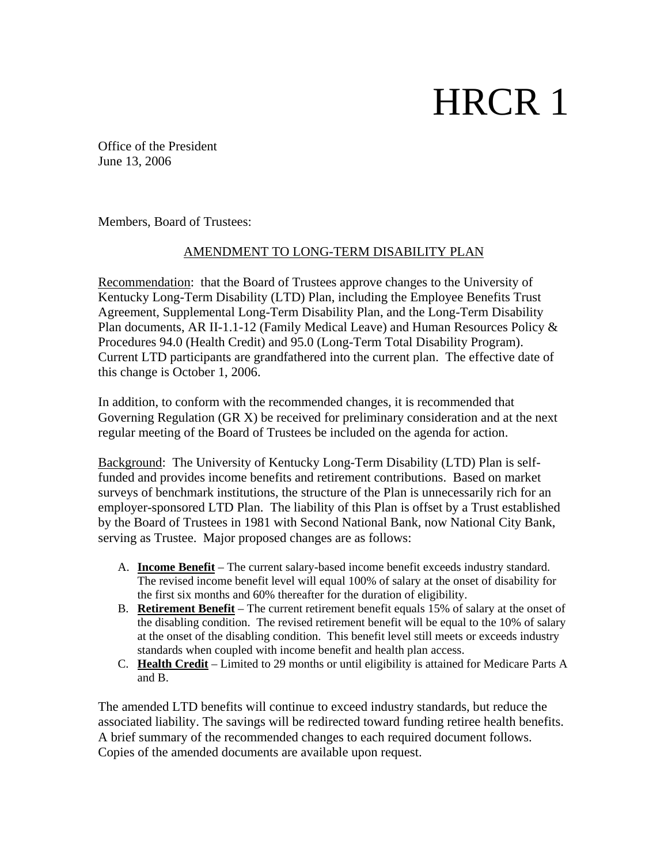# HRCR 1

Office of the President June 13, 2006

Members, Board of Trustees:

#### AMENDMENT TO LONG-TERM DISABILITY PLAN

Recommendation: that the Board of Trustees approve changes to the University of Kentucky Long-Term Disability (LTD) Plan, including the Employee Benefits Trust Agreement, Supplemental Long-Term Disability Plan, and the Long-Term Disability Plan documents, AR II-1.1-12 (Family Medical Leave) and Human Resources Policy & Procedures 94.0 (Health Credit) and 95.0 (Long-Term Total Disability Program). Current LTD participants are grandfathered into the current plan. The effective date of this change is October 1, 2006.

In addition, to conform with the recommended changes, it is recommended that Governing Regulation (GR X) be received for preliminary consideration and at the next regular meeting of the Board of Trustees be included on the agenda for action.

Background: The University of Kentucky Long-Term Disability (LTD) Plan is selffunded and provides income benefits and retirement contributions. Based on market surveys of benchmark institutions, the structure of the Plan is unnecessarily rich for an employer-sponsored LTD Plan. The liability of this Plan is offset by a Trust established by the Board of Trustees in 1981 with Second National Bank, now National City Bank, serving as Trustee. Major proposed changes are as follows:

- A. **Income Benefit** The current salary-based income benefit exceeds industry standard. The revised income benefit level will equal 100% of salary at the onset of disability for the first six months and 60% thereafter for the duration of eligibility.
- B. **Retirement Benefit** The current retirement benefit equals 15% of salary at the onset of the disabling condition. The revised retirement benefit will be equal to the 10% of salary at the onset of the disabling condition. This benefit level still meets or exceeds industry standards when coupled with income benefit and health plan access.
- C. **Health Credit** Limited to 29 months or until eligibility is attained for Medicare Parts A and B.

The amended LTD benefits will continue to exceed industry standards, but reduce the associated liability. The savings will be redirected toward funding retiree health benefits. A brief summary of the recommended changes to each required document follows. Copies of the amended documents are available upon request.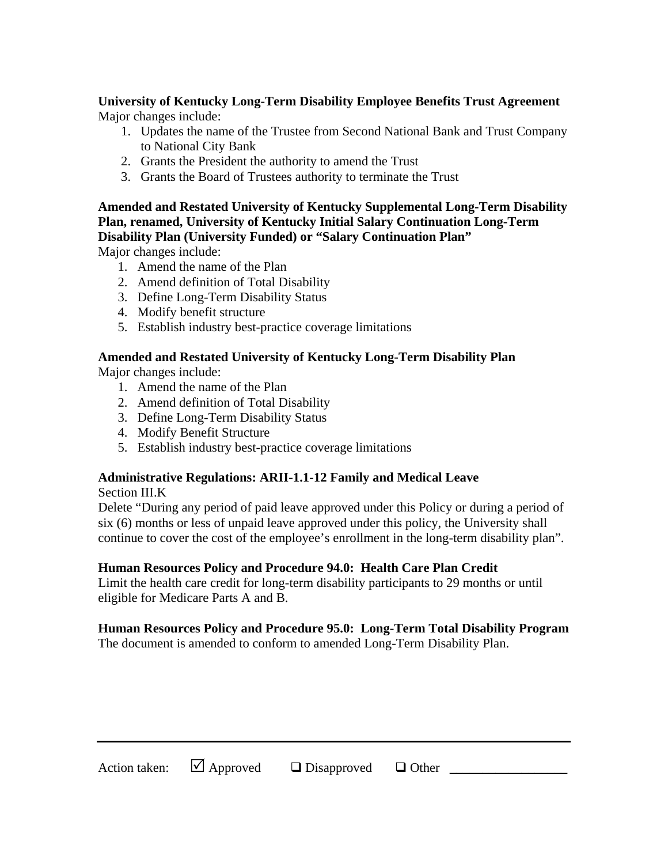## **University of Kentucky Long-Term Disability Employee Benefits Trust Agreement**

Major changes include:

- 1. Updates the name of the Trustee from Second National Bank and Trust Company to National City Bank
- 2. Grants the President the authority to amend the Trust
- 3. Grants the Board of Trustees authority to terminate the Trust

## **Amended and Restated University of Kentucky Supplemental Long-Term Disability Plan, renamed, University of Kentucky Initial Salary Continuation Long-Term Disability Plan (University Funded) or "Salary Continuation Plan"**

Major changes include:

- 1. Amend the name of the Plan
- 2. Amend definition of Total Disability
- 3. Define Long-Term Disability Status
- 4. Modify benefit structure
- 5. Establish industry best-practice coverage limitations

## **Amended and Restated University of Kentucky Long-Term Disability Plan**

Major changes include:

- 1. Amend the name of the Plan
- 2. Amend definition of Total Disability
- 3. Define Long-Term Disability Status
- 4. Modify Benefit Structure
- 5. Establish industry best-practice coverage limitations

## **Administrative Regulations: ARII-1.1-12 Family and Medical Leave**

Section III.K

Delete "During any period of paid leave approved under this Policy or during a period of six (6) months or less of unpaid leave approved under this policy, the University shall continue to cover the cost of the employee's enrollment in the long-term disability plan".

#### **Human Resources Policy and Procedure 94.0: Health Care Plan Credit**

Limit the health care credit for long-term disability participants to 29 months or until eligible for Medicare Parts A and B.

## **Human Resources Policy and Procedure 95.0: Long-Term Total Disability Program**

The document is amended to conform to amended Long-Term Disability Plan.